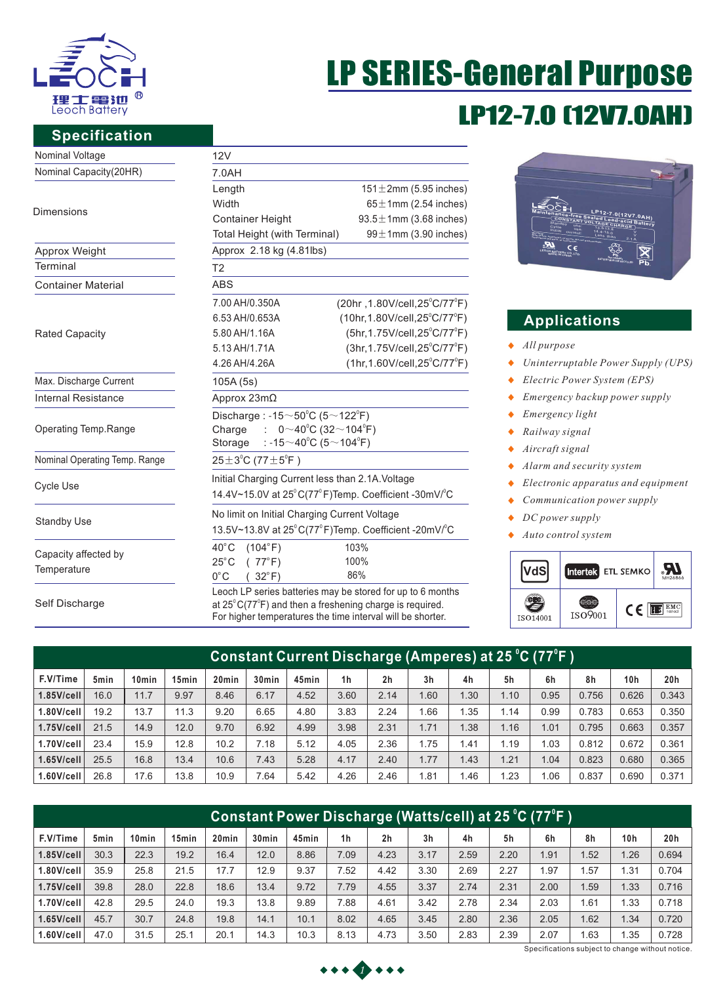

# LP12-7.0 (12V7.0AH) LP SERIES-General Purpose

### **Specification**

| Nominal Voltage               | 12V                                                                            |                                                            |  |  |  |  |  |  |
|-------------------------------|--------------------------------------------------------------------------------|------------------------------------------------------------|--|--|--|--|--|--|
| Nominal Capacity(20HR)        | 7.0AH                                                                          |                                                            |  |  |  |  |  |  |
|                               | Length                                                                         | $151 \pm 2$ mm (5.95 inches)                               |  |  |  |  |  |  |
| <b>Dimensions</b>             | Width                                                                          | $65 \pm 1$ mm (2.54 inches)                                |  |  |  |  |  |  |
|                               | <b>Container Height</b>                                                        | $93.5 \pm 1$ mm (3.68 inches)                              |  |  |  |  |  |  |
|                               | Total Height (with Terminal)                                                   | $99 \pm 1$ mm (3.90 inches)                                |  |  |  |  |  |  |
| Approx Weight                 | Approx 2.18 kg (4.81lbs)                                                       |                                                            |  |  |  |  |  |  |
| Terminal                      | T <sub>2</sub>                                                                 |                                                            |  |  |  |  |  |  |
| <b>Container Material</b>     | <b>ABS</b>                                                                     |                                                            |  |  |  |  |  |  |
|                               | 7.00 AH/0.350A                                                                 | (20hr, 1.80V/cell, 25°C/77°F)                              |  |  |  |  |  |  |
|                               | 6.53 AH/0.653A                                                                 | $(10hr, 1.80V/cell, 25^{\circ}C/77^{\circ}F)$              |  |  |  |  |  |  |
| <b>Rated Capacity</b>         | 5.80 AH/1.16A                                                                  | (5hr, 1.75V/cell, 25°C/77°F)                               |  |  |  |  |  |  |
|                               | 5.13 AH/1.71A                                                                  | $(3hr, 1.75V/cell, 25^{\circ}C/77^{\circ}F)$               |  |  |  |  |  |  |
|                               | 4.26 AH/4.26A                                                                  | $(1hr, 1.60V/cell, 25^{\circ}C/77^{\circ}F)$               |  |  |  |  |  |  |
| Max. Discharge Current        | 105A (5s)                                                                      |                                                            |  |  |  |  |  |  |
| <b>Internal Resistance</b>    | Approx 23mΩ                                                                    |                                                            |  |  |  |  |  |  |
|                               | Discharge: -15 $\sim$ 50 $^{\circ}$ C (5 $\sim$ 122 $^{\circ}$ F)              |                                                            |  |  |  |  |  |  |
| Operating Temp.Range          | : $0 \sim 40^{\circ}$ C (32 $\sim$ 104 $^{\circ}$ F)<br>Charge                 |                                                            |  |  |  |  |  |  |
|                               | : -15 $\sim$ 40°C (5 $\sim$ 104°F)<br>Storage                                  |                                                            |  |  |  |  |  |  |
| Nominal Operating Temp. Range | $25 \pm 3^{\circ}$ C (77 $\pm 5^{\circ}$ F)                                    |                                                            |  |  |  |  |  |  |
| Cycle Use                     | Initial Charging Current less than 2.1A. Voltage                               |                                                            |  |  |  |  |  |  |
|                               | 14.4V~15.0V at 25°C(77°F)Temp. Coefficient -30mV/°C                            |                                                            |  |  |  |  |  |  |
|                               | No limit on Initial Charging Current Voltage                                   |                                                            |  |  |  |  |  |  |
| <b>Standby Use</b>            | 13.5V~13.8V at 25°C(77°F)Temp. Coefficient -20mV/°C                            |                                                            |  |  |  |  |  |  |
|                               | $40^{\circ}$ C<br>(104°F)                                                      | 103%                                                       |  |  |  |  |  |  |
| Capacity affected by          | $25^{\circ}$ C<br>(77°F)                                                       | 100%                                                       |  |  |  |  |  |  |
| Temperature                   | $0^{\circ}$ C<br>$(32^{\circ}F)$                                               | 86%                                                        |  |  |  |  |  |  |
|                               |                                                                                | Leoch LP series batteries may be stored for up to 6 months |  |  |  |  |  |  |
| Self Discharge                | at $25^{\circ}$ C(77 <sup>°</sup> F) and then a freshening charge is required. |                                                            |  |  |  |  |  |  |

For higher temperatures the time interval will be shorter.



## **Applications**

- *All purpose*
- *Uninterruptable Power Supply (UPS)*  $\blacklozenge$
- *Electric Power System (EPS)*  $\blacklozenge$
- $\ddot{\bullet}$ *Emergency backup power supply*
- *Emergency light*  ٠
- *Railway signal*   $\ddot{\bullet}$
- *Aircraft signal*  $\ddot{\bullet}$
- $\ddot{\bullet}$ *Alarm and security system*
- *Electronic apparatus and equipment*  $\bullet$
- *Communication power supply*  $\bullet$
- $\blacklozenge$ *DC power supply*
- *Auto control system* ٠



| Constant Current Discharge (Amperes) at 25 °C (77°F ) |                  |                   |                   |                   |                   |       |                |                |                |      |      |      |       |       |                        |
|-------------------------------------------------------|------------------|-------------------|-------------------|-------------------|-------------------|-------|----------------|----------------|----------------|------|------|------|-------|-------|------------------------|
| F.V/Time                                              | 5 <sub>min</sub> | 10 <sub>min</sub> | 15 <sub>min</sub> | 20 <sub>min</sub> | 30 <sub>min</sub> | 45min | 1 <sub>h</sub> | 2 <sub>h</sub> | 3 <sub>h</sub> | 4h   | 5h   | 6h   | 8h    | 10h   | 20h                    |
| $1.85$ V/cell                                         | 16.0             | 11.7              | 9.97              | 8.46              | 6.17              | 4.52  | 3.60           | 2.14           | 1.60           | 1.30 | 1.10 | 0.95 | 0.756 | 0.626 | 0.343                  |
| 1.80V/cell                                            | 19.2             | 13.7              | 11.3              | 9.20              | 6.65              | 4.80  | 3.83           | 2.24           | 1.66           | 1.35 | 1.14 | 0.99 | 0.783 | 0.653 | 0.350                  |
| $1.75$ V/cell                                         | 21.5             | 14.9              | 12.0              | 9.70              | 6.92              | 4.99  | 3.98           | 2.31           | 1.71           | 1.38 | 1.16 | 1.01 | 0.795 | 0.663 | 0.357                  |
| 1.70V/cell                                            | 23.4             | 15.9              | 12.8              | 10.2              | 7.18              | 5.12  | 4.05           | 2.36           | 1.75           | 1.41 | 1.19 | 1.03 | 0.812 | 0.672 | 0.361                  |
| $1.65$ V/cell                                         | 25.5             | 16.8              | 13.4              | 10.6              | 7.43              | 5.28  | 4.17           | 2.40           | 1.77           | 1.43 | 1.21 | 1.04 | 0.823 | 0.680 | 0.365                  |
| 1.60V/cell                                            | 26.8             | 17.6              | 13.8              | 10.9              | 7.64              | 5.42  | 4.26           | 2.46           | 1.81           | 1.46 | 1.23 | 1.06 | 0.837 | 0.690 | 0.371<br>$\mathcal{L}$ |

| <u> Constant Power Discharge (Watts/cell) at 25 °C (77°F )</u> |      |                   |                   |                   |                   |       |                |                |                |      |      |      |      |                 |       |
|----------------------------------------------------------------|------|-------------------|-------------------|-------------------|-------------------|-------|----------------|----------------|----------------|------|------|------|------|-----------------|-------|
| F.V/Time                                                       | 5min | 10 <sub>min</sub> | 15 <sub>min</sub> | 20 <sub>min</sub> | 30 <sub>min</sub> | 45min | 1 <sub>h</sub> | 2 <sub>h</sub> | 3 <sub>h</sub> | 4h   | 5h   | 6h   | 8h   | 10 <sub>h</sub> | 20h   |
| $1.85$ V/cell                                                  | 30.3 | 22.3              | 19.2              | 16.4              | 12.0              | 8.86  | 7.09           | 4.23           | 3.17           | 2.59 | 2.20 | 1.91 | .52  | 1.26            | 0.694 |
| $1.80$ V/cell                                                  | 35.9 | 25.8              | 21.5              | 17.7              | 12.9              | 9.37  | 7.52           | 4.42           | 3.30           | 2.69 | 2.27 | 1.97 | .57  | 1.31            | 0.704 |
| $1.75$ V/cell                                                  | 39.8 | 28.0              | 22.8              | 18.6              | 13.4              | 9.72  | 7.79           | 4.55           | 3.37           | 2.74 | 2.31 | 2.00 | .59  | 1.33            | 0.716 |
| 1.70V/cell                                                     | 42.8 | 29.5              | 24.0              | 19.3              | 13.8              | 9.89  | 7.88           | 4.61           | 3.42           | 2.78 | 2.34 | 2.03 | .61  | 1.33            | 0.718 |
| $1.65$ V/cell                                                  | 45.7 | 30.7              | 24.8              | 19.8              | 14.1              | 10.1  | 8.02           | 4.65           | 3.45           | 2.80 | 2.36 | 2.05 | 1.62 | 1.34            | 0.720 |
| $1.60$ V/cell                                                  | 47.0 | 31.5              | 25.1              | 20.1              | 14.3              | 10.3  | 8.13           | 4.73           | 3.50           | 2.83 | 2.39 | 2.07 | .63  | 1.35            | 0.728 |

Specifications subject to change without notice.